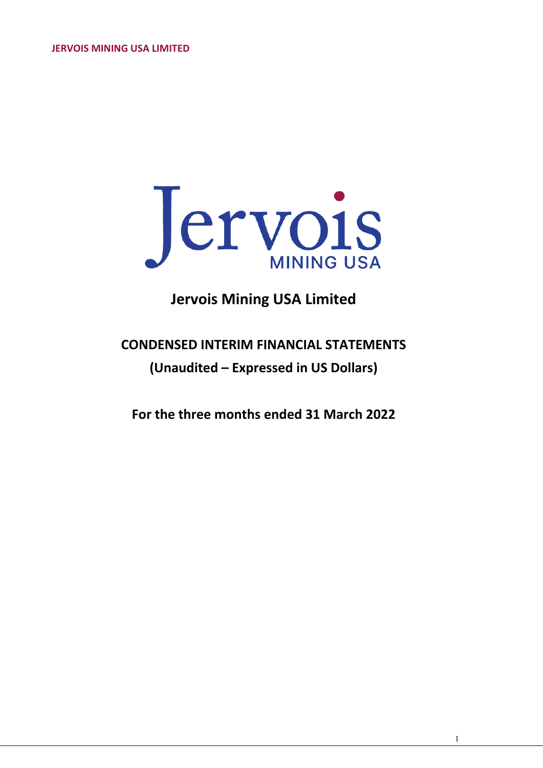

# **Jervois Mining USA Limited**

# **CONDENSED INTERIM FINANCIAL STATEMENTS (Unaudited – Expressed in US Dollars)**

**For the three months ended 31 March 2022**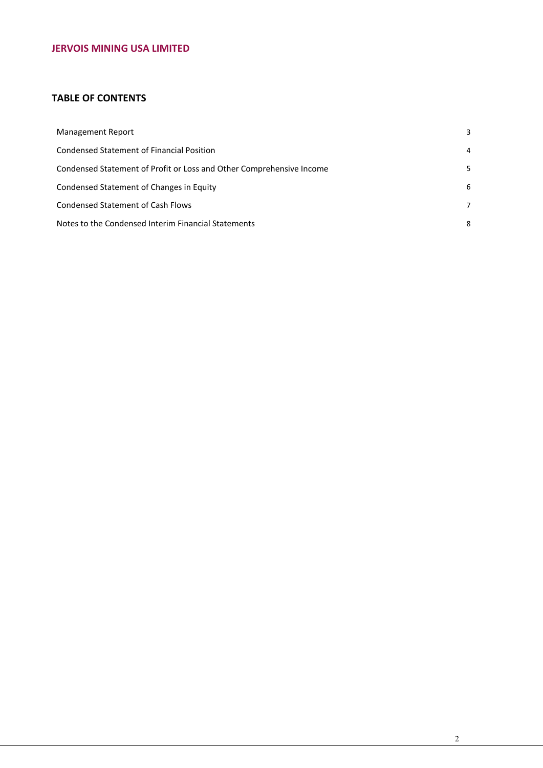## **TABLE OF CONTENTS**

| Management Report                                                    | 3 |
|----------------------------------------------------------------------|---|
| Condensed Statement of Financial Position                            | 4 |
| Condensed Statement of Profit or Loss and Other Comprehensive Income | 5 |
| Condensed Statement of Changes in Equity                             | 6 |
| Condensed Statement of Cash Flows                                    | 7 |
| Notes to the Condensed Interim Financial Statements                  | 8 |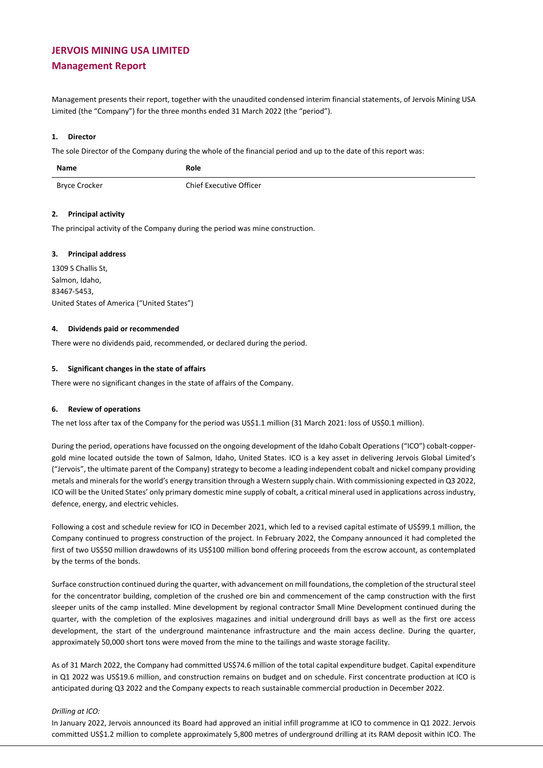# **JERVOIS MINING USA LIMITED Management Report**

Management presents their report, together with the unaudited condensed interim financial statements, of Jervois Mining USA Limited (the "Company") for the three months ended 31 March 2022 (the "period").

#### **1. Director**

The sole Director of the Company during the whole of the financial period and up to the date of this report was:

| <b>Name</b>   | Role                    |
|---------------|-------------------------|
| Bryce Crocker | Chief Executive Officer |

#### **2. Principal activity**

The principal activity of the Company during the period was mine construction.

#### **3. Principal address**

1309 S Challis St, Salmon, Idaho, 83467-5453, United States of America ("United States")

#### **4. Dividends paid or recommended**

There were no dividends paid, recommended, or declared during the period.

#### **5. Significant changes in the state of affairs**

There were no significant changes in the state of affairs of the Company.

#### **6. Review of operations**

The net loss after tax of the Company for the period was US\$1.1 million (31 March 2021: loss of US\$0.1 million).

During the period, operations have focussed on the ongoing development of the Idaho Cobalt Operations ("ICO") cobalt-coppergold mine located outside the town of Salmon, Idaho, United States. ICO is a key asset in delivering Jervois Global Limited's ("Jervois", the ultimate parent of the Company) strategy to become a leading independent cobalt and nickel company providing metals and minerals for the world's energy transition through a Western supply chain. With commissioning expected in Q3 2022, ICO will be the United States' only primary domestic mine supply of cobalt, a critical mineral used in applications across industry, defence, energy, and electric vehicles.

Following a cost and schedule review for ICO in December 2021, which led to a revised capital estimate of US\$99.1 million, the Company continued to progress construction of the project. In February 2022, the Company announced it had completed the first of two US\$50 million drawdowns of its US\$100 million bond offering proceeds from the escrow account, as contemplated by the terms of the bonds.

Surface construction continued during the quarter, with advancement on mill foundations, the completion of the structural steel for the concentrator building, completion of the crushed ore bin and commencement of the camp construction with the first sleeper units of the camp installed. Mine development by regional contractor Small Mine Development continued during the quarter, with the completion of the explosives magazines and initial underground drill bays as well as the first ore access development, the start of the underground maintenance infrastructure and the main access decline. During the quarter, approximately 50,000 short tons were moved from the mine to the tailings and waste storage facility.

As of 31 March 2022, the Company had committed US\$74.6 million of the total capital expenditure budget. Capital expenditure in Q1 2022 was US\$19.6 million, and construction remains on budget and on schedule. First concentrate production at ICO is anticipated during Q3 2022 and the Company expects to reach sustainable commercial production in December 2022.

#### *Drilling at ICO:*

In January 2022, Jervois announced its Board had approved an initial infill programme at ICO to commence in Q1 2022. Jervois committed US\$1.2 million to complete approximately 5,800 metres of underground drilling at its RAM deposit within ICO. The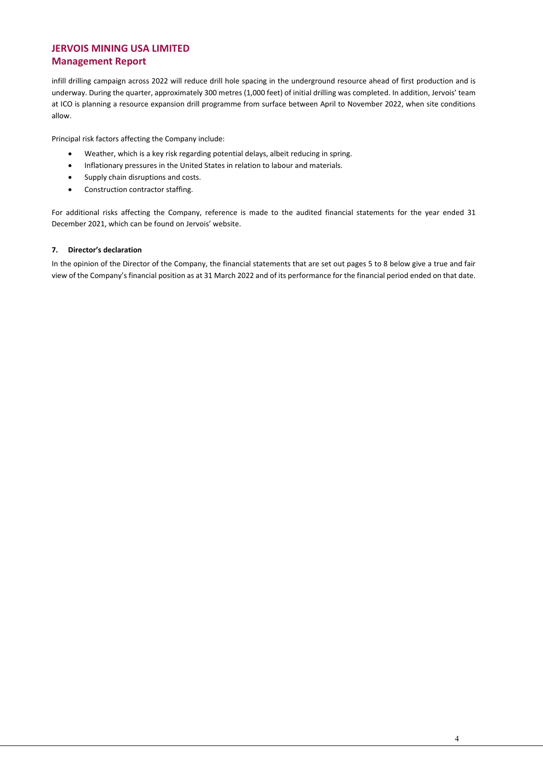### **JERVOIS MINING USA LIMITED Management Report**

infill drilling campaign across 2022 will reduce drill hole spacing in the underground resource ahead of first production and is underway. During the quarter, approximately 300 metres (1,000 feet) of initial drilling was completed. In addition, Jervois' team at ICO is planning a resource expansion drill programme from surface between April to November 2022, when site conditions allow.

Principal risk factors affecting the Company include:

- Weather, which is a key risk regarding potential delays, albeit reducing in spring.
- Inflationary pressures in the United States in relation to labour and materials.
- Supply chain disruptions and costs.
- Construction contractor staffing.

For additional risks affecting the Company, reference is made to the audited financial statements for the year ended 31 December 2021, which can be found on Jervois' website.

#### **7. Director's declaration**

In the opinion of the Director of the Company, the financial statements that are set out pages 5 to 8 below give a true and fair view of the Company's financial position as at 31 March 2022 and of its performance for the financial period ended on that date.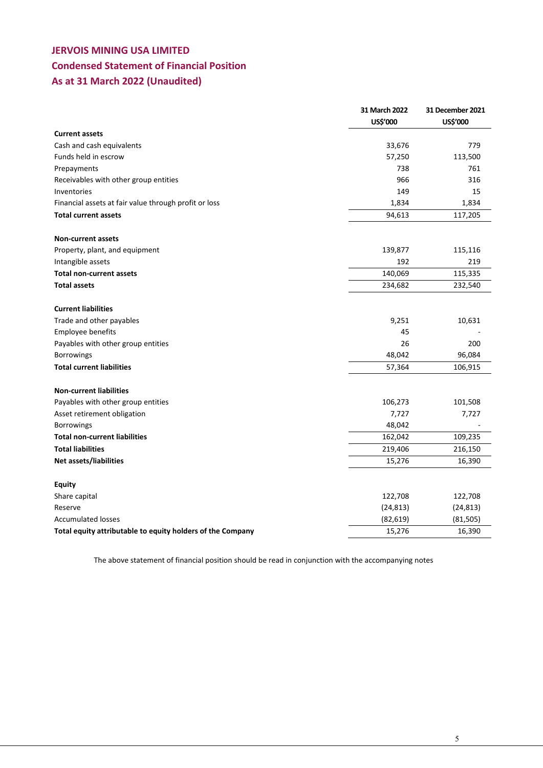# **JERVOIS MINING USA LIMITED Condensed Statement of Financial Position As at 31 March 2022 (Unaudited)**

|                                                            | 31 March 2022 | 31 December 2021 |
|------------------------------------------------------------|---------------|------------------|
|                                                            | US\$'000      | <b>US\$'000</b>  |
| <b>Current assets</b>                                      |               |                  |
| Cash and cash equivalents                                  | 33,676        | 779              |
| Funds held in escrow                                       | 57,250        | 113,500          |
| Prepayments                                                | 738           | 761              |
| Receivables with other group entities                      | 966           | 316              |
| Inventories                                                | 149           | 15               |
| Financial assets at fair value through profit or loss      | 1,834         | 1,834            |
| <b>Total current assets</b>                                | 94,613        | 117,205          |
| <b>Non-current assets</b>                                  |               |                  |
| Property, plant, and equipment                             | 139,877       | 115,116          |
| Intangible assets                                          | 192           | 219              |
| <b>Total non-current assets</b>                            | 140,069       | 115,335          |
| <b>Total assets</b>                                        | 234,682       | 232,540          |
| <b>Current liabilities</b>                                 |               |                  |
| Trade and other payables                                   | 9,251         | 10,631           |
| Employee benefits                                          | 45            |                  |
| Payables with other group entities                         | 26            | 200              |
| <b>Borrowings</b>                                          | 48,042        | 96,084           |
| <b>Total current liabilities</b>                           | 57,364        | 106,915          |
| <b>Non-current liabilities</b>                             |               |                  |
| Payables with other group entities                         | 106,273       | 101,508          |
| Asset retirement obligation                                | 7,727         | 7,727            |
| Borrowings                                                 | 48,042        |                  |
| <b>Total non-current liabilities</b>                       | 162,042       | 109,235          |
| <b>Total liabilities</b>                                   | 219,406       | 216,150          |
| Net assets/liabilities                                     | 15,276        | 16,390           |
|                                                            |               |                  |
| <b>Equity</b>                                              |               |                  |
| Share capital                                              | 122,708       | 122,708          |
| Reserve                                                    | (24, 813)     | (24, 813)        |
| <b>Accumulated losses</b>                                  | (82, 619)     | (81, 505)        |
| Total equity attributable to equity holders of the Company | 15,276        | 16,390           |

The above statement of financial position should be read in conjunction with the accompanying notes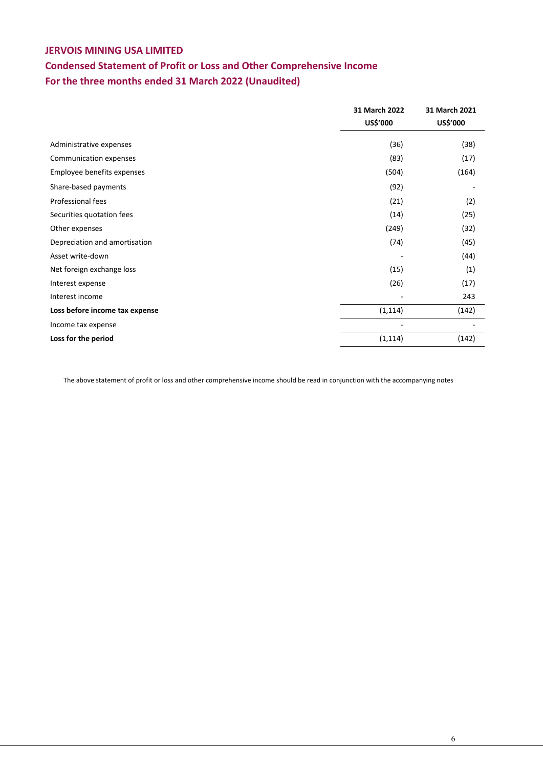# **Condensed Statement of Profit or Loss and Other Comprehensive Income For the three months ended 31 March 2022 (Unaudited)**

|                                | 31 March 2022 | 31 March 2021 |
|--------------------------------|---------------|---------------|
|                                | US\$'000      | US\$'000      |
| Administrative expenses        | (36)          | (38)          |
| Communication expenses         | (83)          | (17)          |
| Employee benefits expenses     | (504)         | (164)         |
| Share-based payments           | (92)          |               |
| Professional fees              | (21)          | (2)           |
| Securities quotation fees      | (14)          | (25)          |
| Other expenses                 | (249)         | (32)          |
| Depreciation and amortisation  | (74)          | (45)          |
| Asset write-down               |               | (44)          |
| Net foreign exchange loss      | (15)          | (1)           |
| Interest expense               | (26)          | (17)          |
| Interest income                |               | 243           |
| Loss before income tax expense | (1, 114)      | (142)         |
| Income tax expense             |               |               |
| Loss for the period            | (1, 114)      | (142)         |

The above statement of profit or loss and other comprehensive income should be read in conjunction with the accompanying notes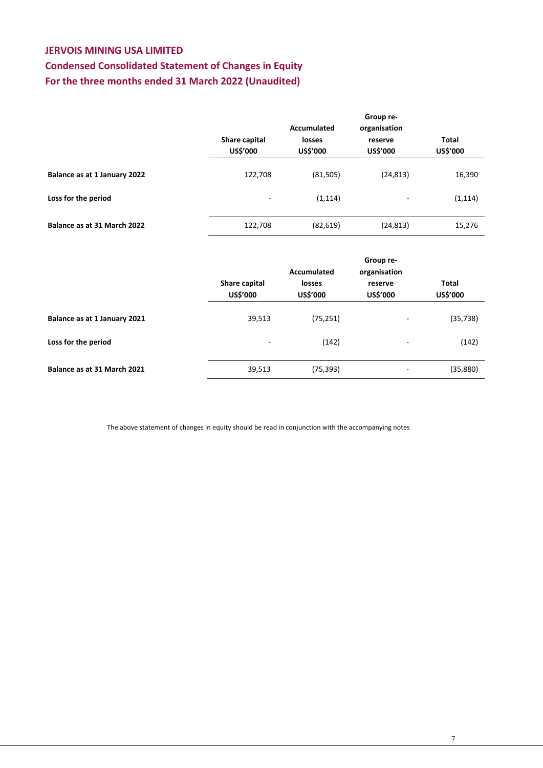# **Condensed Consolidated Statement of Changes in Equity For the three months ended 31 March 2022 (Unaudited)**

|                              | Group re-<br>Accumulated<br>organisation |                    |                          |                          |
|------------------------------|------------------------------------------|--------------------|--------------------------|--------------------------|
|                              | Share capital<br><b>US\$'000</b>         | losses<br>US\$'000 | reserve<br>US\$'000      | Total<br><b>US\$'000</b> |
| Balance as at 1 January 2022 | 122,708                                  | (81, 505)          | (24, 813)                | 16,390                   |
| Loss for the period          | -                                        | (1, 114)           | $\overline{\phantom{0}}$ | (1, 114)                 |
| Balance as at 31 March 2022  | 122,708                                  | (82, 619)          | (24, 813)                | 15,276                   |

|                              | Share capital<br><b>US\$'000</b> | Accumulated<br><b>losses</b><br><b>US\$'000</b> | Group re-<br>organisation<br>reserve<br><b>US\$'000</b> | Total<br><b>US\$'000</b> |
|------------------------------|----------------------------------|-------------------------------------------------|---------------------------------------------------------|--------------------------|
| Balance as at 1 January 2021 | 39,513                           | (75, 251)                                       | -                                                       | (35, 738)                |
| Loss for the period          | ۰                                | (142)                                           | ۰                                                       | (142)                    |
| Balance as at 31 March 2021  | 39,513                           | (75, 393)                                       | -                                                       | (35,880)                 |

The above statement of changes in equity should be read in conjunction with the accompanying notes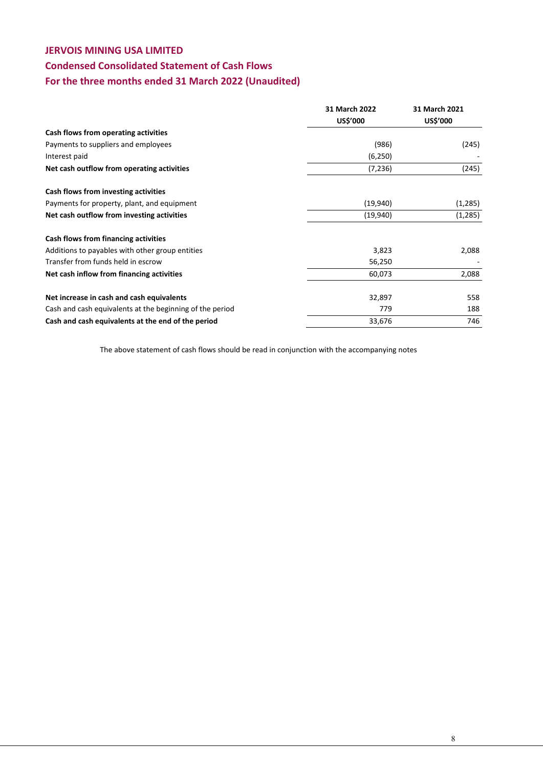# **Condensed Consolidated Statement of Cash Flows**

# **For the three months ended 31 March 2022 (Unaudited)**

|                                                          | 31 March 2022 | 31 March 2021   |
|----------------------------------------------------------|---------------|-----------------|
|                                                          | US\$'000      | <b>US\$'000</b> |
| Cash flows from operating activities                     |               |                 |
| Payments to suppliers and employees                      | (986)         | (245)           |
| Interest paid                                            | (6,250)       |                 |
| Net cash outflow from operating activities               | (7, 236)      | (245)           |
| Cash flows from investing activities                     |               |                 |
| Payments for property, plant, and equipment              | (19,940)      | (1,285)         |
| Net cash outflow from investing activities               | (19,940)      | (1,285)         |
| Cash flows from financing activities                     |               |                 |
| Additions to payables with other group entities          | 3,823         | 2,088           |
| Transfer from funds held in escrow                       | 56,250        |                 |
| Net cash inflow from financing activities                | 60,073        | 2,088           |
| Net increase in cash and cash equivalents                | 32,897        | 558             |
| Cash and cash equivalents at the beginning of the period | 779           | 188             |
| Cash and cash equivalents at the end of the period       | 33,676        | 746             |

The above statement of cash flows should be read in conjunction with the accompanying notes